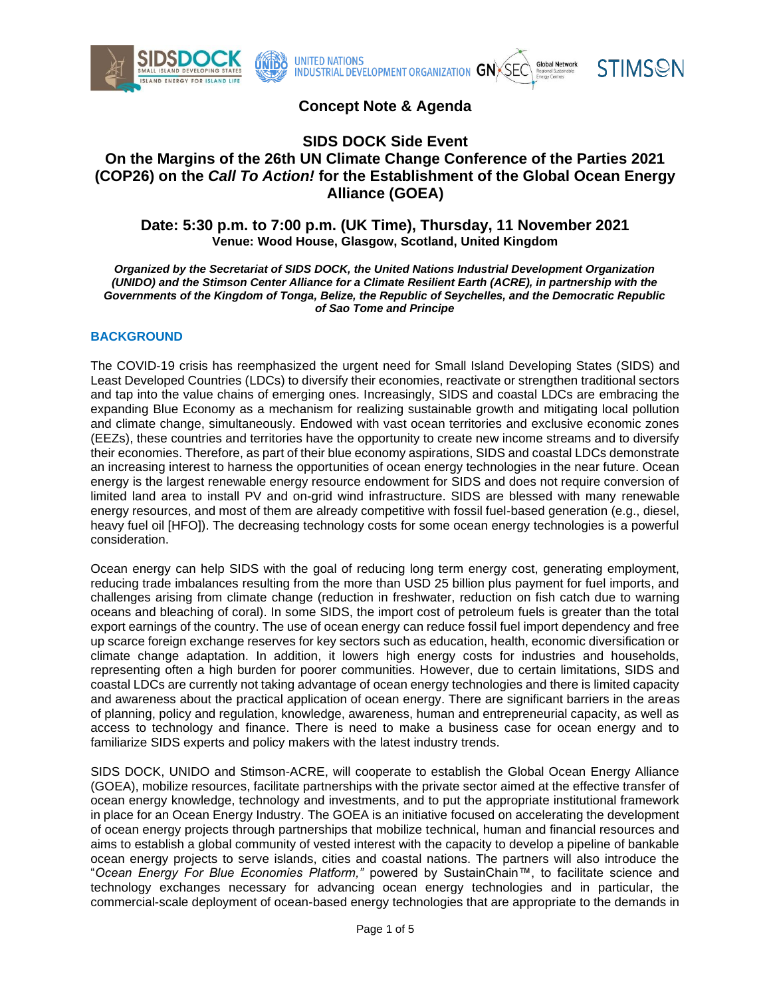





# **Concept Note & Agenda**

# **SIDS DOCK Side Event On the Margins of the 26th UN Climate Change Conference of the Parties 2021 (COP26) on the** *Call To Action!* **for the Establishment of the Global Ocean Energy Alliance (GOEA)**

### **Date: 5:30 p.m. to 7:00 p.m. (UK Time), Thursday, 11 November 2021 Venue: Wood House, Glasgow, Scotland, United Kingdom**

*Organized by the Secretariat of SIDS DOCK, the United Nations Industrial Development Organization (UNIDO) and the Stimson Center Alliance for a Climate Resilient Earth (ACRE), in partnership with the Governments of the Kingdom of Tonga, Belize, the Republic of Seychelles, and the Democratic Republic of Sao Tome and Principe*

### **BACKGROUND**

The COVID-19 crisis has reemphasized the urgent need for Small Island Developing States (SIDS) and Least Developed Countries (LDCs) to diversify their economies, reactivate or strengthen traditional sectors and tap into the value chains of emerging ones. Increasingly, SIDS and coastal LDCs are embracing the expanding Blue Economy as a mechanism for realizing sustainable growth and mitigating local pollution and climate change, simultaneously. Endowed with vast ocean territories and exclusive economic zones (EEZs), these countries and territories have the opportunity to create new income streams and to diversify their economies. Therefore, as part of their blue economy aspirations, SIDS and coastal LDCs demonstrate an increasing interest to harness the opportunities of ocean energy technologies in the near future. Ocean energy is the largest renewable energy resource endowment for SIDS and does not require conversion of limited land area to install PV and on-grid wind infrastructure. SIDS are blessed with many renewable energy resources, and most of them are already competitive with fossil fuel-based generation (e.g., diesel, heavy fuel oil [HFO]). The decreasing technology costs for some ocean energy technologies is a powerful consideration.

Ocean energy can help SIDS with the goal of reducing long term energy cost, generating employment, reducing trade imbalances resulting from the more than USD 25 billion plus payment for fuel imports, and challenges arising from climate change (reduction in freshwater, reduction on fish catch due to warning oceans and bleaching of coral). In some SIDS, the import cost of petroleum fuels is greater than the total export earnings of the country. The use of ocean energy can reduce fossil fuel import dependency and free up scarce foreign exchange reserves for key sectors such as education, health, economic diversification or climate change adaptation. In addition, it lowers high energy costs for industries and households, representing often a high burden for poorer communities. However, due to certain limitations, SIDS and coastal LDCs are currently not taking advantage of ocean energy technologies and there is limited capacity and awareness about the practical application of ocean energy. There are significant barriers in the areas of planning, policy and regulation, knowledge, awareness, human and entrepreneurial capacity, as well as access to technology and finance. There is need to make a business case for ocean energy and to familiarize SIDS experts and policy makers with the latest industry trends.

SIDS DOCK, UNIDO and Stimson-ACRE, will cooperate to establish the Global Ocean Energy Alliance (GOEA), mobilize resources, facilitate partnerships with the private sector aimed at the effective transfer of ocean energy knowledge, technology and investments, and to put the appropriate institutional framework in place for an Ocean Energy Industry. The GOEA is an initiative focused on accelerating the development of ocean energy projects through partnerships that mobilize technical, human and financial resources and aims to establish a global community of vested interest with the capacity to develop a pipeline of bankable ocean energy projects to serve islands, cities and coastal nations. The partners will also introduce the "*Ocean Energy For Blue Economies Platform,"* powered by SustainChain™, to facilitate science and technology exchanges necessary for advancing ocean energy technologies and in particular, the commercial-scale deployment of ocean-based energy technologies that are appropriate to the demands in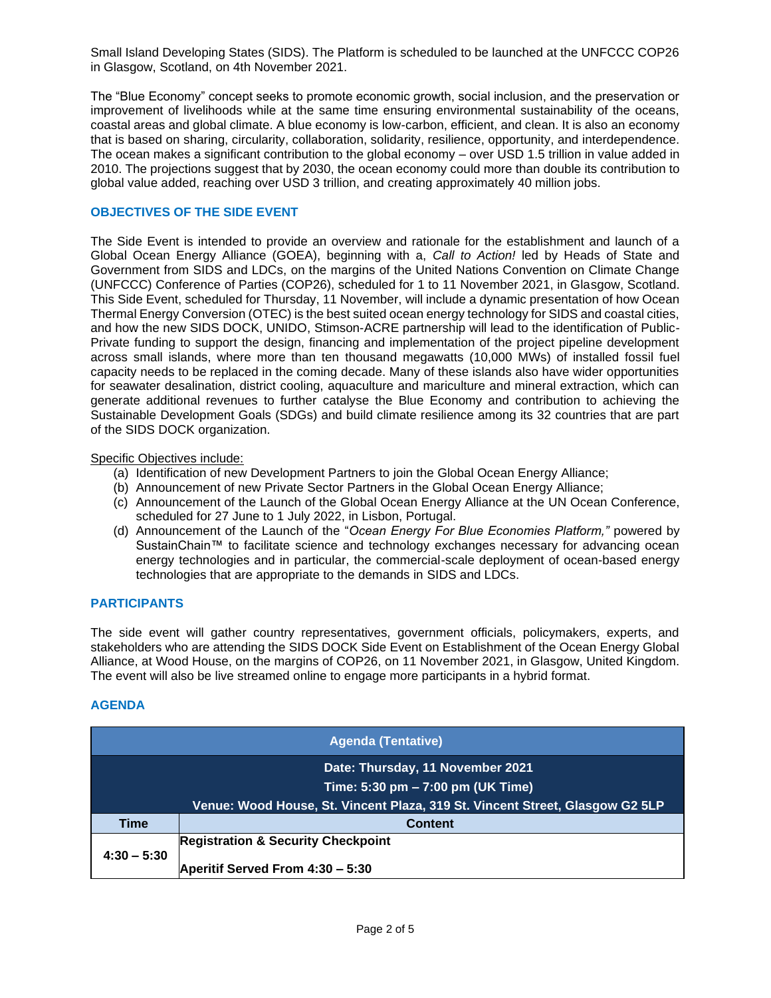Small Island Developing States (SIDS). The Platform is scheduled to be launched at the UNFCCC COP26 in Glasgow, Scotland, on 4th November 2021.

The "Blue Economy" concept seeks to promote economic growth, social inclusion, and the preservation or improvement of livelihoods while at the same time ensuring environmental sustainability of the oceans, coastal areas and global climate. A blue economy is low-carbon, efficient, and clean. It is also an economy that is based on sharing, circularity, collaboration, solidarity, resilience, opportunity, and interdependence. The ocean makes a significant contribution to the global economy – over USD 1.5 trillion in value added in 2010. The projections suggest that by 2030, the ocean economy could more than double its contribution to global value added, reaching over USD 3 trillion, and creating approximately 40 million jobs.

### **OBJECTIVES OF THE SIDE EVENT**

The Side Event is intended to provide an overview and rationale for the establishment and launch of a Global Ocean Energy Alliance (GOEA), beginning with a, *Call to Action!* led by Heads of State and Government from SIDS and LDCs, on the margins of the United Nations Convention on Climate Change (UNFCCC) Conference of Parties (COP26), scheduled for 1 to 11 November 2021, in Glasgow, Scotland. This Side Event, scheduled for Thursday, 11 November, will include a dynamic presentation of how Ocean Thermal Energy Conversion (OTEC) is the best suited ocean energy technology for SIDS and coastal cities, and how the new SIDS DOCK, UNIDO, Stimson-ACRE partnership will lead to the identification of Public-Private funding to support the design, financing and implementation of the project pipeline development across small islands, where more than ten thousand megawatts (10,000 MWs) of installed fossil fuel capacity needs to be replaced in the coming decade. Many of these islands also have wider opportunities for seawater desalination, district cooling, aquaculture and mariculture and mineral extraction, which can generate additional revenues to further catalyse the Blue Economy and contribution to achieving the Sustainable Development Goals (SDGs) and build climate resilience among its 32 countries that are part of the SIDS DOCK organization.

#### Specific Objectives include:

- (a) Identification of new Development Partners to join the Global Ocean Energy Alliance;
- (b) Announcement of new Private Sector Partners in the Global Ocean Energy Alliance;
- (c) Announcement of the Launch of the Global Ocean Energy Alliance at the UN Ocean Conference, scheduled for 27 June to 1 July 2022, in Lisbon, Portugal.
- (d) Announcement of the Launch of the "*Ocean Energy For Blue Economies Platform,"* powered by SustainChain™ to facilitate science and technology exchanges necessary for advancing ocean energy technologies and in particular, the commercial-scale deployment of ocean-based energy technologies that are appropriate to the demands in SIDS and LDCs.

### **PARTICIPANTS**

The side event will gather country representatives, government officials, policymakers, experts, and stakeholders who are attending the SIDS DOCK Side Event on Establishment of the Ocean Energy Global Alliance, at Wood House, on the margins of COP26, on 11 November 2021, in Glasgow, United Kingdom. The event will also be live streamed online to engage more participants in a hybrid format.

## **AGENDA**

| <b>Agenda (Tentative)</b> |                                                                              |
|---------------------------|------------------------------------------------------------------------------|
|                           | Date: Thursday, 11 November 2021                                             |
|                           | Time: 5:30 pm - 7:00 pm (UK Time)                                            |
|                           | Venue: Wood House, St. Vincent Plaza, 319 St. Vincent Street, Glasgow G2 5LP |
| <b>Time</b>               | <b>Content</b>                                                               |
| $4:30 - 5:30$             | <b>Registration &amp; Security Checkpoint</b>                                |
|                           | Aperitif Served From 4:30 - 5:30                                             |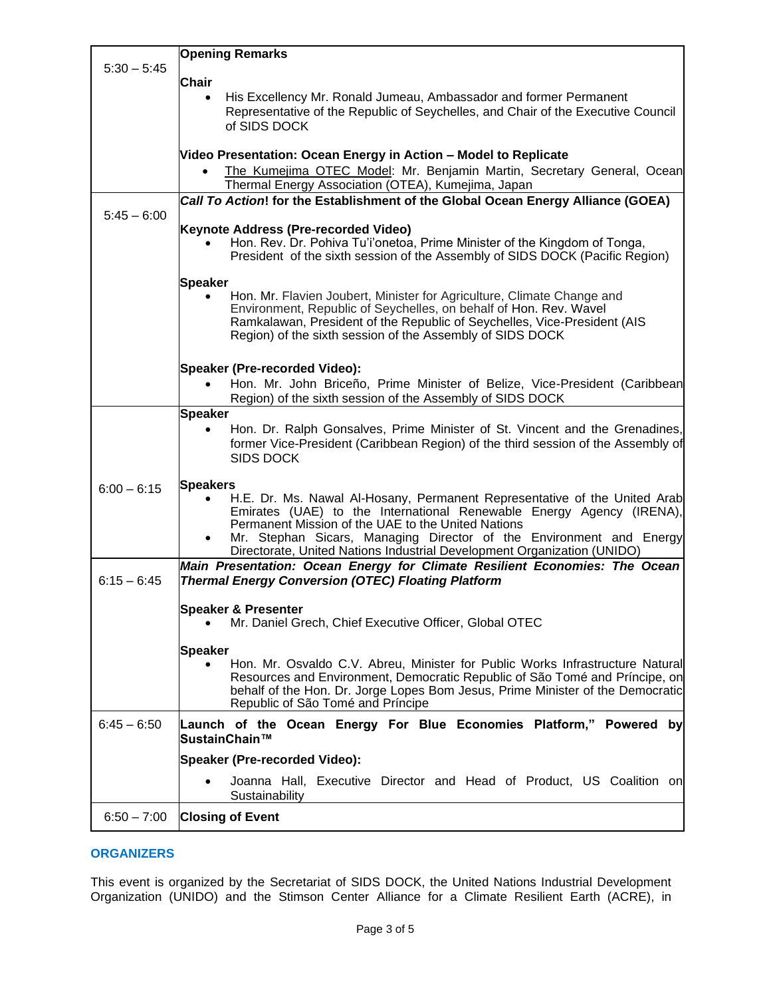|               | <b>Opening Remarks</b>                                                                                                                                                                                                                                                                                                                                                       |
|---------------|------------------------------------------------------------------------------------------------------------------------------------------------------------------------------------------------------------------------------------------------------------------------------------------------------------------------------------------------------------------------------|
| $5:30 - 5:45$ | <b>Chair</b>                                                                                                                                                                                                                                                                                                                                                                 |
|               | His Excellency Mr. Ronald Jumeau, Ambassador and former Permanent<br>Representative of the Republic of Seychelles, and Chair of the Executive Council<br>of SIDS DOCK                                                                                                                                                                                                        |
|               | Video Presentation: Ocean Energy in Action - Model to Replicate<br>The Kumejima OTEC Model: Mr. Benjamin Martin, Secretary General, Ocean<br>$\bullet$<br>Thermal Energy Association (OTEA), Kumejima, Japan                                                                                                                                                                 |
|               | Call To Action! for the Establishment of the Global Ocean Energy Alliance (GOEA)                                                                                                                                                                                                                                                                                             |
| $5:45 - 6:00$ | Keynote Address (Pre-recorded Video)<br>Hon. Rev. Dr. Pohiva Tu'i'onetoa, Prime Minister of the Kingdom of Tonga,<br>President of the sixth session of the Assembly of SIDS DOCK (Pacific Region)                                                                                                                                                                            |
|               | <b>Speaker</b>                                                                                                                                                                                                                                                                                                                                                               |
|               | Hon. Mr. Flavien Joubert, Minister for Agriculture, Climate Change and<br>Environment, Republic of Seychelles, on behalf of Hon. Rev. Wavel<br>Ramkalawan, President of the Republic of Seychelles, Vice-President (AIS<br>Region) of the sixth session of the Assembly of SIDS DOCK                                                                                         |
|               | Speaker (Pre-recorded Video):                                                                                                                                                                                                                                                                                                                                                |
|               | Hon. Mr. John Briceño, Prime Minister of Belize, Vice-President (Caribbean<br>Region) of the sixth session of the Assembly of SIDS DOCK                                                                                                                                                                                                                                      |
|               | <b>Speaker</b>                                                                                                                                                                                                                                                                                                                                                               |
|               | Hon. Dr. Ralph Gonsalves, Prime Minister of St. Vincent and the Grenadines,<br>former Vice-President (Caribbean Region) of the third session of the Assembly of<br><b>SIDS DOCK</b>                                                                                                                                                                                          |
| $6:00 - 6:15$ | <b>Speakers</b><br>H.E. Dr. Ms. Nawal Al-Hosany, Permanent Representative of the United Arab<br>Emirates (UAE) to the International Renewable Energy Agency (IRENA),<br>Permanent Mission of the UAE to the United Nations<br>Mr. Stephan Sicars, Managing Director of the Environment and Energy<br>Directorate, United Nations Industrial Development Organization (UNIDO) |
|               | Main Presentation: Ocean Energy for Climate Resilient Economies: The Ocean                                                                                                                                                                                                                                                                                                   |
| $6:15 - 6:45$ | <b>Thermal Energy Conversion (OTEC) Floating Platform</b>                                                                                                                                                                                                                                                                                                                    |
|               | <b>Speaker &amp; Presenter</b><br>Mr. Daniel Grech, Chief Executive Officer, Global OTEC                                                                                                                                                                                                                                                                                     |
|               | <b>Speaker</b>                                                                                                                                                                                                                                                                                                                                                               |
|               | Hon. Mr. Osvaldo C.V. Abreu, Minister for Public Works Infrastructure Natural<br>Resources and Environment, Democratic Republic of São Tomé and Príncipe, on<br>behalf of the Hon. Dr. Jorge Lopes Bom Jesus, Prime Minister of the Democratic<br>Republic of São Tomé and Príncipe                                                                                          |
| $6:45 - 6:50$ | Launch of the Ocean Energy For Blue Economies Platform," Powered by<br>SustainChain™                                                                                                                                                                                                                                                                                         |
|               | Speaker (Pre-recorded Video):                                                                                                                                                                                                                                                                                                                                                |
|               | Joanna Hall, Executive Director and Head of Product, US Coalition on<br>Sustainability                                                                                                                                                                                                                                                                                       |
| $6:50 - 7:00$ | <b>Closing of Event</b>                                                                                                                                                                                                                                                                                                                                                      |
|               |                                                                                                                                                                                                                                                                                                                                                                              |

## **ORGANIZERS**

This event is organized by the Secretariat of SIDS DOCK, the United Nations Industrial Development Organization (UNIDO) and the Stimson Center Alliance for a Climate Resilient Earth (ACRE), in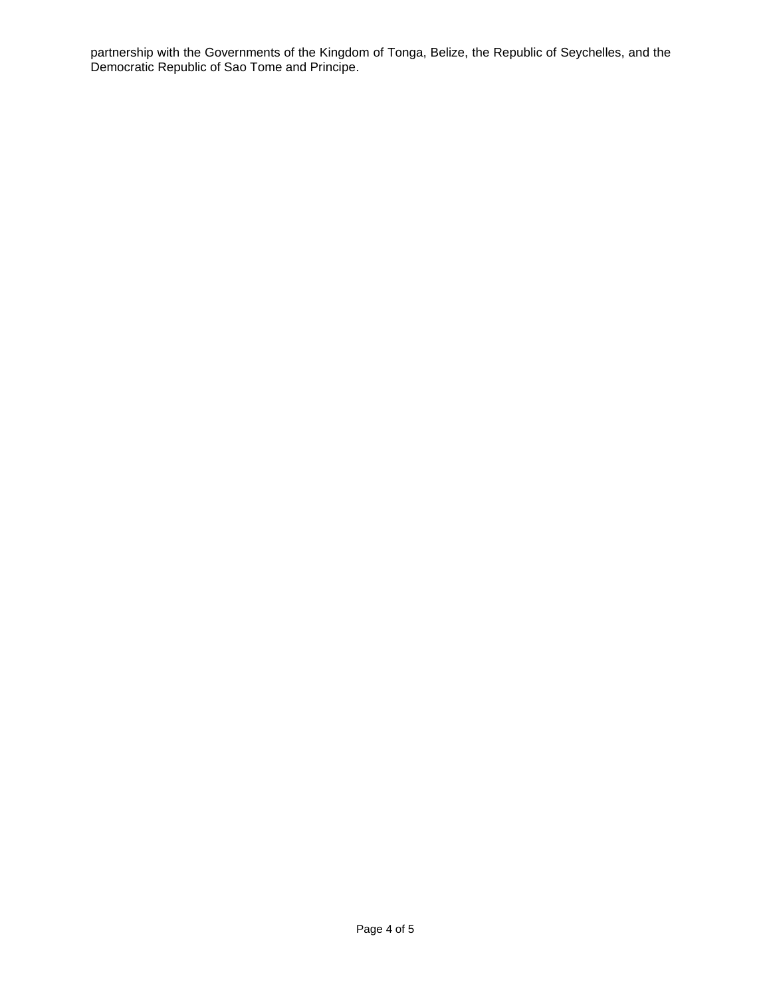partnership with the Governments of the Kingdom of Tonga, Belize, the Republic of Seychelles, and the Democratic Republic of Sao Tome and Principe.